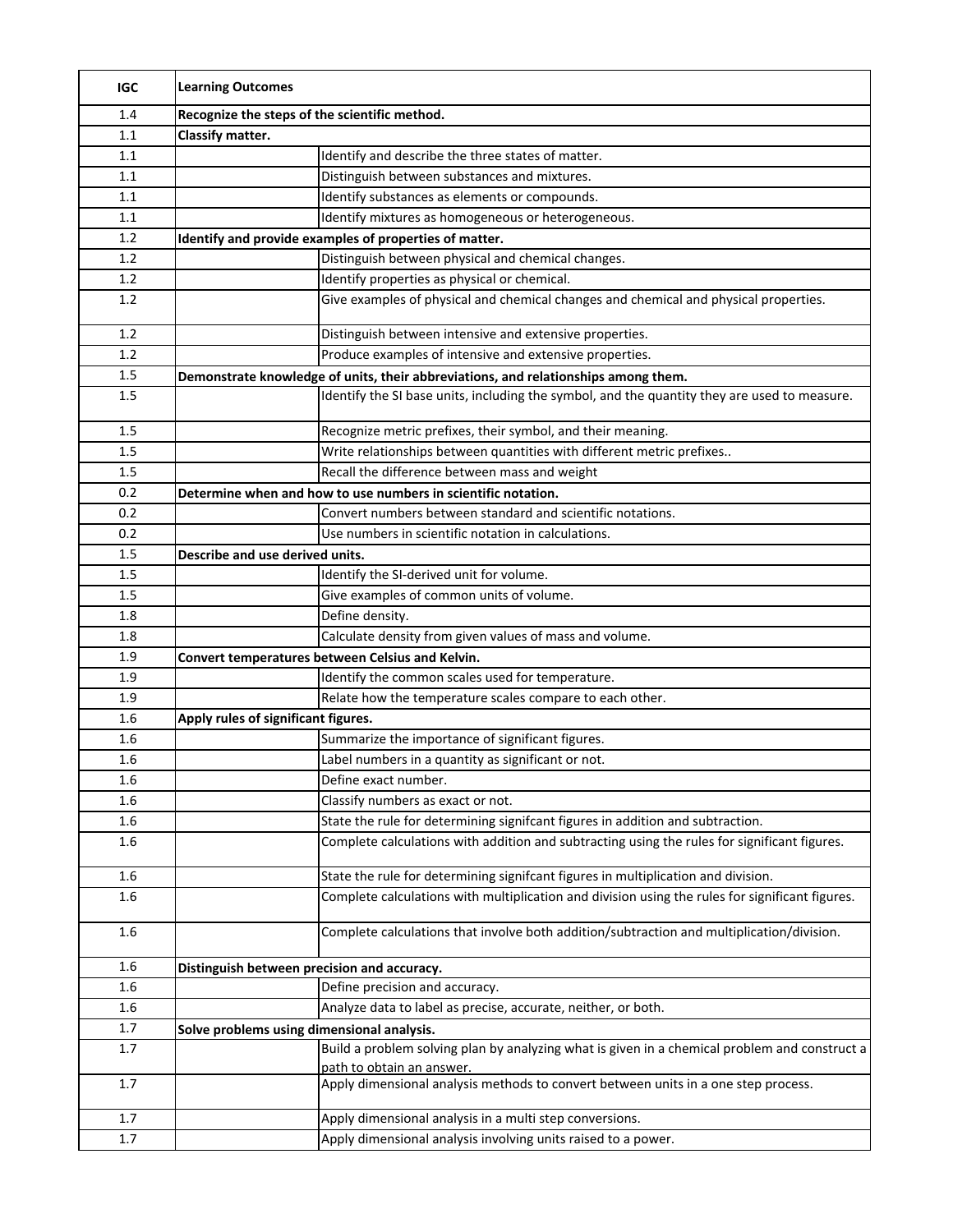| <b>IGC</b> | <b>Learning Outcomes</b>                                                                                                   |  |  |
|------------|----------------------------------------------------------------------------------------------------------------------------|--|--|
| 1.4        | Recognize the steps of the scientific method.                                                                              |  |  |
| 1.1        | Classify matter.                                                                                                           |  |  |
| 1.1        | Identify and describe the three states of matter.                                                                          |  |  |
| 1.1        | Distinguish between substances and mixtures.                                                                               |  |  |
| 1.1        | Identify substances as elements or compounds.                                                                              |  |  |
| 1.1        | Identify mixtures as homogeneous or heterogeneous.                                                                         |  |  |
| 1.2        | Identify and provide examples of properties of matter.                                                                     |  |  |
| 1.2        | Distinguish between physical and chemical changes.                                                                         |  |  |
| 1.2        | Identify properties as physical or chemical.                                                                               |  |  |
| 1.2        | Give examples of physical and chemical changes and chemical and physical properties.                                       |  |  |
| 1.2        | Distinguish between intensive and extensive properties.                                                                    |  |  |
| 1.2        | Produce examples of intensive and extensive properties.                                                                    |  |  |
| 1.5        | Demonstrate knowledge of units, their abbreviations, and relationships among them.                                         |  |  |
| 1.5        | Identify the SI base units, including the symbol, and the quantity they are used to measure.                               |  |  |
| 1.5        | Recognize metric prefixes, their symbol, and their meaning.                                                                |  |  |
| 1.5        | Write relationships between quantities with different metric prefixes                                                      |  |  |
| 1.5        | Recall the difference between mass and weight                                                                              |  |  |
| 0.2        | Determine when and how to use numbers in scientific notation.                                                              |  |  |
| 0.2        | Convert numbers between standard and scientific notations.                                                                 |  |  |
| 0.2        | Use numbers in scientific notation in calculations.                                                                        |  |  |
| 1.5        | Describe and use derived units.                                                                                            |  |  |
| 1.5        | Identify the SI-derived unit for volume.                                                                                   |  |  |
| 1.5        | Give examples of common units of volume.                                                                                   |  |  |
| 1.8        | Define density.                                                                                                            |  |  |
| 1.8        | Calculate density from given values of mass and volume.                                                                    |  |  |
| 1.9        | Convert temperatures between Celsius and Kelvin.                                                                           |  |  |
| 1.9        | Identify the common scales used for temperature.                                                                           |  |  |
| 1.9        | Relate how the temperature scales compare to each other.                                                                   |  |  |
| 1.6        | Apply rules of significant figures.                                                                                        |  |  |
| 1.6        | Summarize the importance of significant figures.                                                                           |  |  |
| 1.6        | Label numbers in a quantity as significant or not.                                                                         |  |  |
| 1.6        | Define exact number.                                                                                                       |  |  |
| 1.6        | Classify numbers as exact or not.                                                                                          |  |  |
| 1.6        | State the rule for determining signifcant figures in addition and subtraction.                                             |  |  |
| 1.6        | Complete calculations with addition and subtracting using the rules for significant figures.                               |  |  |
|            |                                                                                                                            |  |  |
| 1.6        | State the rule for determining signifcant figures in multiplication and division.                                          |  |  |
| 1.6        | Complete calculations with multiplication and division using the rules for significant figures.                            |  |  |
| $1.6\,$    | Complete calculations that involve both addition/subtraction and multiplication/division.                                  |  |  |
| 1.6        | Distinguish between precision and accuracy.                                                                                |  |  |
| 1.6        | Define precision and accuracy.                                                                                             |  |  |
| 1.6        | Analyze data to label as precise, accurate, neither, or both.                                                              |  |  |
| 1.7        | Solve problems using dimensional analysis.                                                                                 |  |  |
| 1.7        | Build a problem solving plan by analyzing what is given in a chemical problem and construct a<br>path to obtain an answer. |  |  |
| 1.7        | Apply dimensional analysis methods to convert between units in a one step process.                                         |  |  |
| 1.7        | Apply dimensional analysis in a multi step conversions.                                                                    |  |  |
| 1.7        | Apply dimensional analysis involving units raised to a power.                                                              |  |  |
|            |                                                                                                                            |  |  |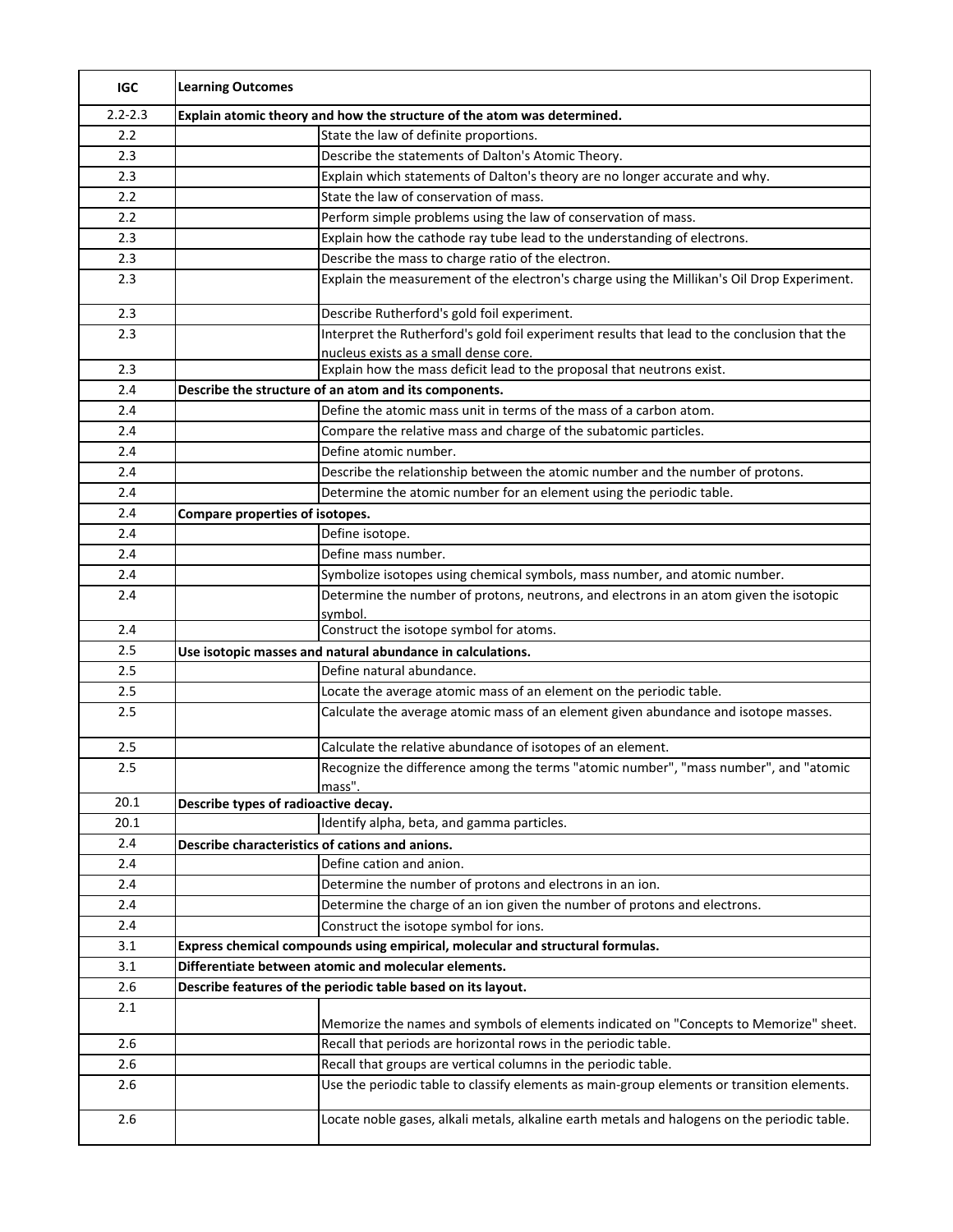| <b>IGC</b>  | <b>Learning Outcomes</b>                                                                       |  |  |  |
|-------------|------------------------------------------------------------------------------------------------|--|--|--|
| $2.2 - 2.3$ | Explain atomic theory and how the structure of the atom was determined.                        |  |  |  |
| 2.2         | State the law of definite proportions.                                                         |  |  |  |
| 2.3         | Describe the statements of Dalton's Atomic Theory.                                             |  |  |  |
| 2.3         | Explain which statements of Dalton's theory are no longer accurate and why.                    |  |  |  |
| 2.2         | State the law of conservation of mass.                                                         |  |  |  |
| 2.2         | Perform simple problems using the law of conservation of mass.                                 |  |  |  |
| 2.3         | Explain how the cathode ray tube lead to the understanding of electrons.                       |  |  |  |
| 2.3         | Describe the mass to charge ratio of the electron.                                             |  |  |  |
| 2.3         | Explain the measurement of the electron's charge using the Millikan's Oil Drop Experiment.     |  |  |  |
| 2.3         | Describe Rutherford's gold foil experiment.                                                    |  |  |  |
| 2.3         | Interpret the Rutherford's gold foil experiment results that lead to the conclusion that the   |  |  |  |
|             | nucleus exists as a small dense core.                                                          |  |  |  |
| 2.3         | Explain how the mass deficit lead to the proposal that neutrons exist.                         |  |  |  |
| 2.4         | Describe the structure of an atom and its components.                                          |  |  |  |
| 2.4         | Define the atomic mass unit in terms of the mass of a carbon atom.                             |  |  |  |
| 2.4         | Compare the relative mass and charge of the subatomic particles.                               |  |  |  |
| 2.4         | Define atomic number.                                                                          |  |  |  |
| 2.4         | Describe the relationship between the atomic number and the number of protons.                 |  |  |  |
| 2.4         | Determine the atomic number for an element using the periodic table.                           |  |  |  |
| 2.4         | Compare properties of isotopes.                                                                |  |  |  |
| 2.4         | Define isotope.                                                                                |  |  |  |
| 2.4         | Define mass number.                                                                            |  |  |  |
| 2.4         | Symbolize isotopes using chemical symbols, mass number, and atomic number.                     |  |  |  |
| 2.4         | Determine the number of protons, neutrons, and electrons in an atom given the isotopic         |  |  |  |
|             | symbol.                                                                                        |  |  |  |
| 2.4         | Construct the isotope symbol for atoms.                                                        |  |  |  |
| 2.5         | Use isotopic masses and natural abundance in calculations.                                     |  |  |  |
| 2.5         | Define natural abundance.                                                                      |  |  |  |
| 2.5         | Locate the average atomic mass of an element on the periodic table.                            |  |  |  |
| 2.5         | Calculate the average atomic mass of an element given abundance and isotope masses.            |  |  |  |
| 2.5         | Calculate the relative abundance of isotopes of an element.                                    |  |  |  |
| 2.5         | Recognize the difference among the terms "atomic number", "mass number", and "atomic<br>mass". |  |  |  |
| 20.1        | Describe types of radioactive decay.                                                           |  |  |  |
| 20.1        | Identify alpha, beta, and gamma particles.                                                     |  |  |  |
| 2.4         | Describe characteristics of cations and anions.                                                |  |  |  |
| 2.4         | Define cation and anion.                                                                       |  |  |  |
| 2.4         | Determine the number of protons and electrons in an ion.                                       |  |  |  |
| 2.4         | Determine the charge of an ion given the number of protons and electrons.                      |  |  |  |
| 2.4         | Construct the isotope symbol for ions.                                                         |  |  |  |
| 3.1         | Express chemical compounds using empirical, molecular and structural formulas.                 |  |  |  |
| 3.1         | Differentiate between atomic and molecular elements.                                           |  |  |  |
| 2.6         | Describe features of the periodic table based on its layout.                                   |  |  |  |
| 2.1         | Memorize the names and symbols of elements indicated on "Concepts to Memorize" sheet.          |  |  |  |
| 2.6         | Recall that periods are horizontal rows in the periodic table.                                 |  |  |  |
| 2.6         | Recall that groups are vertical columns in the periodic table.                                 |  |  |  |
| 2.6         | Use the periodic table to classify elements as main-group elements or transition elements.     |  |  |  |
| 2.6         | Locate noble gases, alkali metals, alkaline earth metals and halogens on the periodic table.   |  |  |  |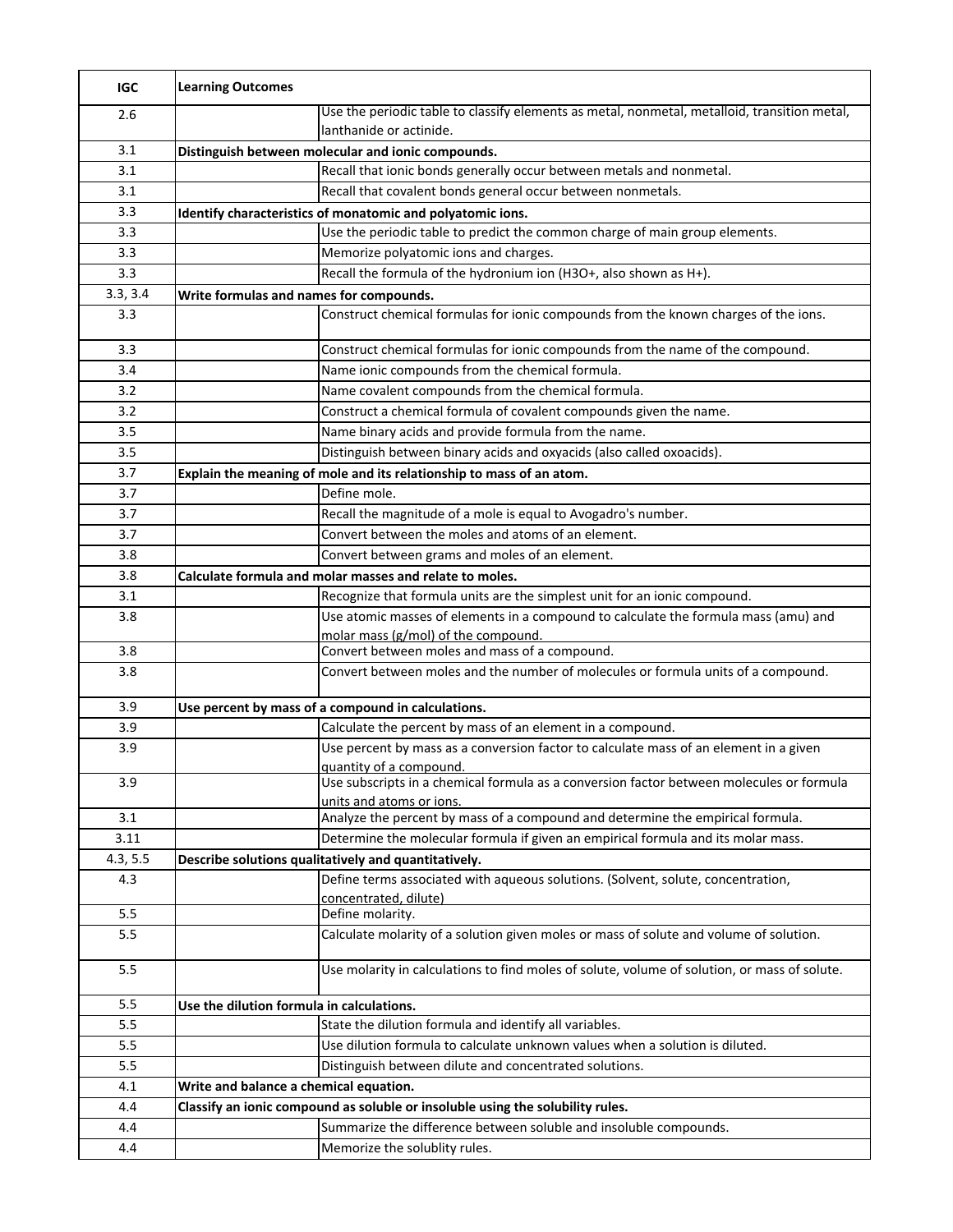| <b>IGC</b> | <b>Learning Outcomes</b>                                                       |                                                                                                                      |  |
|------------|--------------------------------------------------------------------------------|----------------------------------------------------------------------------------------------------------------------|--|
| 2.6        |                                                                                | Use the periodic table to classify elements as metal, nonmetal, metalloid, transition metal,                         |  |
|            |                                                                                | lanthanide or actinide.                                                                                              |  |
| 3.1        |                                                                                | Distinguish between molecular and ionic compounds.                                                                   |  |
| 3.1        |                                                                                | Recall that ionic bonds generally occur between metals and nonmetal.                                                 |  |
| 3.1        |                                                                                | Recall that covalent bonds general occur between nonmetals.                                                          |  |
| 3.3        |                                                                                | Identify characteristics of monatomic and polyatomic ions.                                                           |  |
| 3.3        |                                                                                | Use the periodic table to predict the common charge of main group elements.                                          |  |
| 3.3        |                                                                                | Memorize polyatomic ions and charges.                                                                                |  |
| 3.3        | Recall the formula of the hydronium ion (H3O+, also shown as H+).              |                                                                                                                      |  |
| 3.3, 3.4   | Write formulas and names for compounds.                                        |                                                                                                                      |  |
| 3.3        |                                                                                | Construct chemical formulas for ionic compounds from the known charges of the ions.                                  |  |
| 3.3        |                                                                                | Construct chemical formulas for ionic compounds from the name of the compound.                                       |  |
| 3.4        |                                                                                | Name ionic compounds from the chemical formula.                                                                      |  |
| 3.2        |                                                                                | Name covalent compounds from the chemical formula.                                                                   |  |
| 3.2        |                                                                                | Construct a chemical formula of covalent compounds given the name.                                                   |  |
| 3.5        |                                                                                | Name binary acids and provide formula from the name.                                                                 |  |
| 3.5        |                                                                                | Distinguish between binary acids and oxyacids (also called oxoacids).                                                |  |
| 3.7        |                                                                                | Explain the meaning of mole and its relationship to mass of an atom.                                                 |  |
| 3.7        |                                                                                | Define mole.                                                                                                         |  |
| 3.7        |                                                                                | Recall the magnitude of a mole is equal to Avogadro's number.                                                        |  |
| 3.7        |                                                                                | Convert between the moles and atoms of an element.                                                                   |  |
| 3.8        |                                                                                | Convert between grams and moles of an element.                                                                       |  |
| 3.8        |                                                                                | Calculate formula and molar masses and relate to moles.                                                              |  |
| 3.1        |                                                                                | Recognize that formula units are the simplest unit for an ionic compound.                                            |  |
| 3.8        |                                                                                | Use atomic masses of elements in a compound to calculate the formula mass (amu) and                                  |  |
|            |                                                                                | molar mass (g/mol) of the compound.                                                                                  |  |
| 3.8        |                                                                                | Convert between moles and mass of a compound.                                                                        |  |
| 3.8        |                                                                                | Convert between moles and the number of molecules or formula units of a compound.                                    |  |
| 3.9        |                                                                                | Use percent by mass of a compound in calculations.                                                                   |  |
| 3.9        |                                                                                | Calculate the percent by mass of an element in a compound.                                                           |  |
| 3.9        |                                                                                | Use percent by mass as a conversion factor to calculate mass of an element in a given<br>quantity of a compound.     |  |
| 3.9        |                                                                                | Use subscripts in a chemical formula as a conversion factor between molecules or formula<br>units and atoms or ions. |  |
| 3.1        |                                                                                | Analyze the percent by mass of a compound and determine the empirical formula.                                       |  |
| 3.11       |                                                                                | Determine the molecular formula if given an empirical formula and its molar mass.                                    |  |
| 4.3, 5.5   |                                                                                | Describe solutions qualitatively and quantitatively.                                                                 |  |
| 4.3        |                                                                                | Define terms associated with aqueous solutions. (Solvent, solute, concentration,<br>concentrated, dilute)            |  |
| 5.5        |                                                                                | Define molarity.                                                                                                     |  |
| 5.5        |                                                                                | Calculate molarity of a solution given moles or mass of solute and volume of solution.                               |  |
| 5.5        |                                                                                | Use molarity in calculations to find moles of solute, volume of solution, or mass of solute.                         |  |
| 5.5        | Use the dilution formula in calculations.                                      |                                                                                                                      |  |
| 5.5        |                                                                                | State the dilution formula and identify all variables.                                                               |  |
| 5.5        |                                                                                | Use dilution formula to calculate unknown values when a solution is diluted.                                         |  |
| 5.5        |                                                                                | Distinguish between dilute and concentrated solutions.                                                               |  |
| 4.1        | Write and balance a chemical equation.                                         |                                                                                                                      |  |
| 4.4        | Classify an ionic compound as soluble or insoluble using the solubility rules. |                                                                                                                      |  |
| 4.4        |                                                                                | Summarize the difference between soluble and insoluble compounds.                                                    |  |
| 4.4        |                                                                                | Memorize the solublity rules.                                                                                        |  |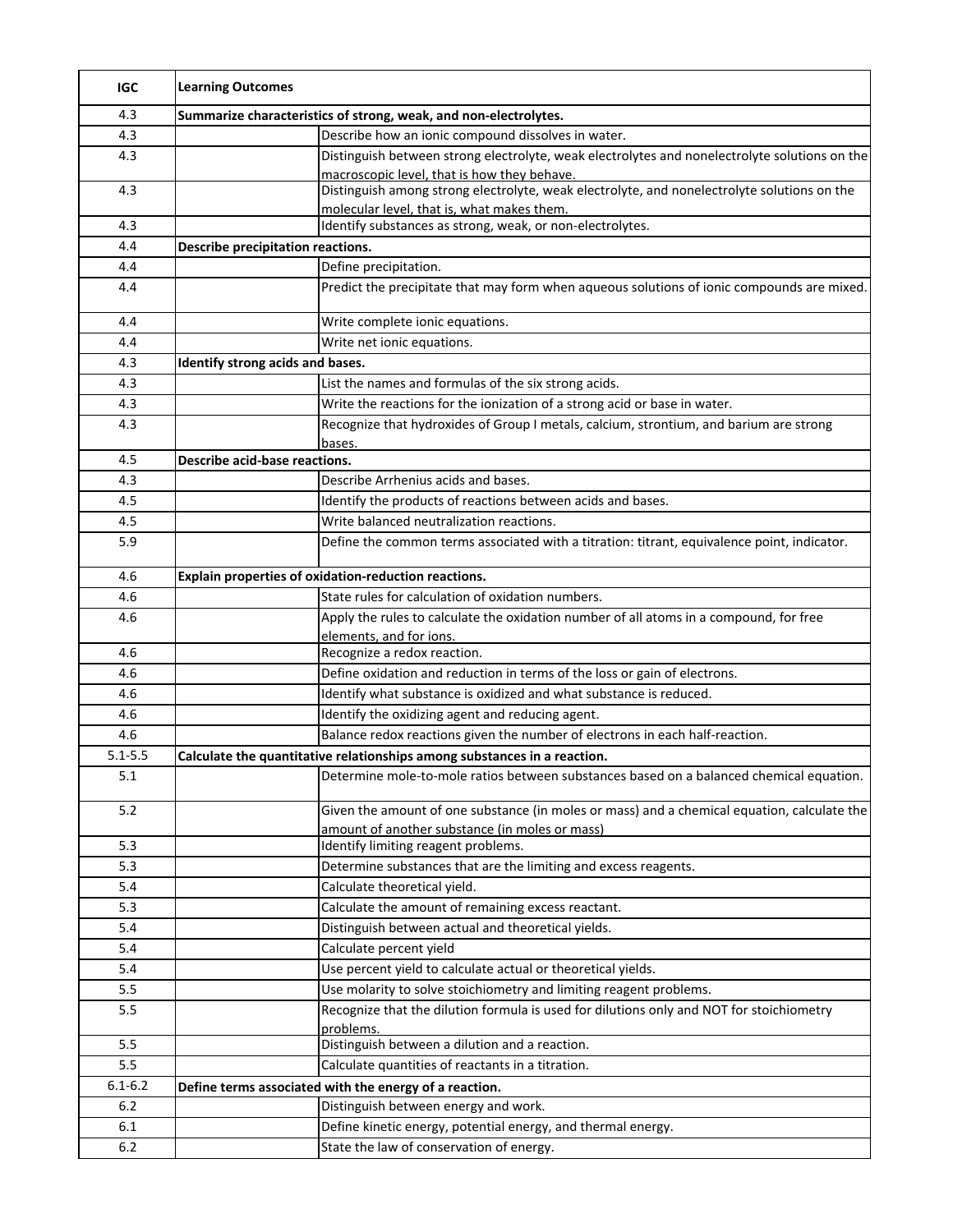| <b>IGC</b>  | <b>Learning Outcomes</b>                                         |                                                                                                                                               |  |
|-------------|------------------------------------------------------------------|-----------------------------------------------------------------------------------------------------------------------------------------------|--|
| 4.3         | Summarize characteristics of strong, weak, and non-electrolytes. |                                                                                                                                               |  |
| 4.3         |                                                                  | Describe how an ionic compound dissolves in water.                                                                                            |  |
| 4.3         |                                                                  | Distinguish between strong electrolyte, weak electrolytes and nonelectrolyte solutions on the<br>macroscopic level, that is how they behave.  |  |
| 4.3         |                                                                  | Distinguish among strong electrolyte, weak electrolyte, and nonelectrolyte solutions on the<br>molecular level, that is, what makes them.     |  |
| 4.3         |                                                                  | Identify substances as strong, weak, or non-electrolytes.                                                                                     |  |
| 4.4         | <b>Describe precipitation reactions.</b>                         |                                                                                                                                               |  |
| 4.4         |                                                                  | Define precipitation.                                                                                                                         |  |
| 4.4         |                                                                  | Predict the precipitate that may form when aqueous solutions of ionic compounds are mixed.                                                    |  |
| 4.4         |                                                                  | Write complete ionic equations.                                                                                                               |  |
| 4.4         |                                                                  | Write net ionic equations.                                                                                                                    |  |
| 4.3         | Identify strong acids and bases.                                 |                                                                                                                                               |  |
| 4.3         |                                                                  | List the names and formulas of the six strong acids.                                                                                          |  |
| 4.3         |                                                                  | Write the reactions for the ionization of a strong acid or base in water.                                                                     |  |
| 4.3         |                                                                  | Recognize that hydroxides of Group I metals, calcium, strontium, and barium are strong<br>bases.                                              |  |
| 4.5         | Describe acid-base reactions.                                    |                                                                                                                                               |  |
| 4.3         |                                                                  | Describe Arrhenius acids and bases.                                                                                                           |  |
| 4.5         |                                                                  | Identify the products of reactions between acids and bases.                                                                                   |  |
| 4.5         |                                                                  | Write balanced neutralization reactions.                                                                                                      |  |
| 5.9         |                                                                  | Define the common terms associated with a titration: titrant, equivalence point, indicator.                                                   |  |
| 4.6         |                                                                  | Explain properties of oxidation-reduction reactions.                                                                                          |  |
| 4.6         |                                                                  | State rules for calculation of oxidation numbers.                                                                                             |  |
| 4.6         |                                                                  | Apply the rules to calculate the oxidation number of all atoms in a compound, for free<br>elements, and for ions.                             |  |
| 4.6         |                                                                  | Recognize a redox reaction.                                                                                                                   |  |
| 4.6         |                                                                  | Define oxidation and reduction in terms of the loss or gain of electrons.                                                                     |  |
| 4.6         |                                                                  | Identify what substance is oxidized and what substance is reduced.                                                                            |  |
| 4.6         |                                                                  | Identify the oxidizing agent and reducing agent.                                                                                              |  |
| 4.6         |                                                                  | Balance redox reactions given the number of electrons in each half-reaction.                                                                  |  |
| $5.1 - 5.5$ |                                                                  | Calculate the quantitative relationships among substances in a reaction.                                                                      |  |
| 5.1         |                                                                  | Determine mole-to-mole ratios between substances based on a balanced chemical equation.                                                       |  |
| 5.2         |                                                                  | Given the amount of one substance (in moles or mass) and a chemical equation, calculate the<br>amount of another substance (in moles or mass) |  |
| 5.3         |                                                                  | Identify limiting reagent problems.                                                                                                           |  |
| 5.3         |                                                                  | Determine substances that are the limiting and excess reagents.                                                                               |  |
| 5.4         |                                                                  | Calculate theoretical yield.                                                                                                                  |  |
| 5.3         |                                                                  | Calculate the amount of remaining excess reactant.                                                                                            |  |
| 5.4         |                                                                  | Distinguish between actual and theoretical yields.                                                                                            |  |
| 5.4         |                                                                  | Calculate percent yield                                                                                                                       |  |
| 5.4         |                                                                  | Use percent yield to calculate actual or theoretical yields.                                                                                  |  |
| 5.5         |                                                                  | Use molarity to solve stoichiometry and limiting reagent problems.                                                                            |  |
| 5.5         |                                                                  | Recognize that the dilution formula is used for dilutions only and NOT for stoichiometry                                                      |  |
|             |                                                                  | problems.                                                                                                                                     |  |
| 5.5         |                                                                  | Distinguish between a dilution and a reaction.                                                                                                |  |
| 5.5         |                                                                  | Calculate quantities of reactants in a titration.                                                                                             |  |
| $6.1 - 6.2$ |                                                                  | Define terms associated with the energy of a reaction.                                                                                        |  |
| 6.2         |                                                                  | Distinguish between energy and work.                                                                                                          |  |
| 6.1         |                                                                  | Define kinetic energy, potential energy, and thermal energy.                                                                                  |  |
| 6.2         |                                                                  | State the law of conservation of energy.                                                                                                      |  |